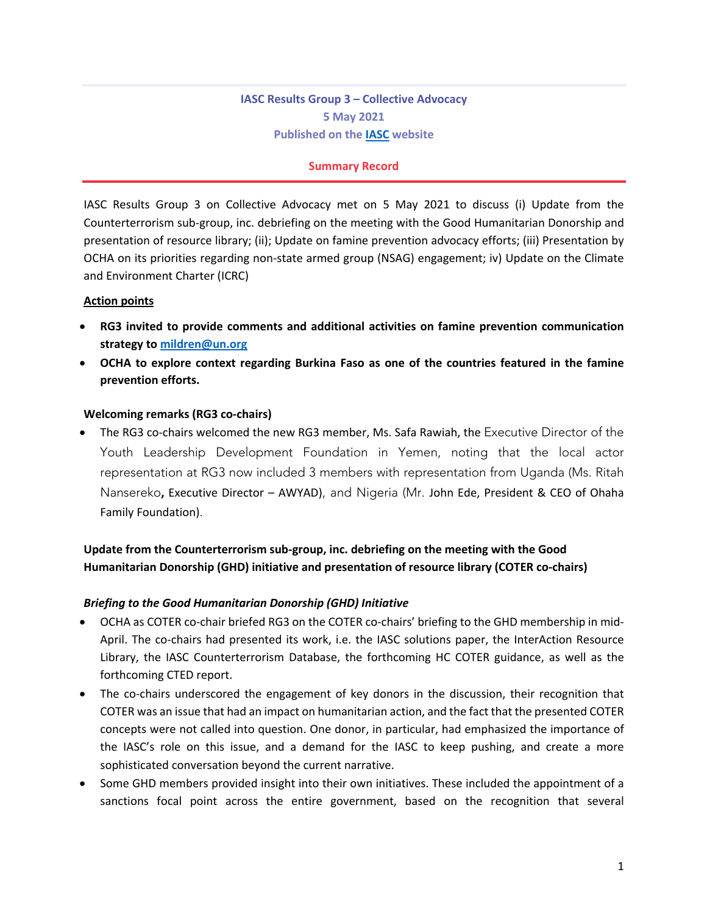# **IASC Results Group 3 – Collective Advocacy 5 May 2021 Published on the IASC website**

## **Summary Record**

IASC Results Group 3 on Collective Advocacy met on 5 May 2021 to discuss (i) Update from the Counterterrorism sub-group, inc. debriefing on the meeting with the Good Humanitarian Donorship and presentation of resource library; (ii); Update on famine prevention advocacy efforts; (iii) Presentation by OCHA on its priorities regarding non-state armed group (NSAG) engagement; iv) Update on the Climate and Environment Charter (ICRC)

## **Action points**

- **RG3 invited to provide comments and additional activities on famine prevention communication strategy to mildren@un.org**
- **OCHA to explore context regarding Burkina Faso as one of the countries featured in the famine prevention efforts.**

## **Welcoming remarks (RG3 co-chairs)**

• The RG3 co-chairs welcomed the new RG3 member, Ms. Safa Rawiah, the Executive Director of the Youth Leadership Development Foundation in Yemen, noting that the local actor representation at RG3 now included 3 members with representation from Uganda (Ms. Ritah Nansereko**,** Executive Director – AWYAD), and Nigeria (Mr. John Ede, President & CEO of Ohaha Family Foundation).

# **Update from the Counterterrorism sub-group, inc. debriefing on the meeting with the Good Humanitarian Donorship (GHD) initiative and presentation of resource library (COTER co-chairs)**

## *Briefing to the Good Humanitarian Donorship (GHD) Initiative*

- OCHA as COTER co-chair briefed RG3 on the COTER co-chairs' briefing to the GHD membership in mid-April. The co-chairs had presented its work, i.e. the IASC solutions paper, the InterAction Resource Library, the IASC Counterterrorism Database, the forthcoming HC COTER guidance, as well as the forthcoming CTED report.
- The co-chairs underscored the engagement of key donors in the discussion, their recognition that COTER was an issue that had an impact on humanitarian action, and the fact that the presented COTER concepts were not called into question. One donor, in particular, had emphasized the importance of the IASC's role on this issue, and a demand for the IASC to keep pushing, and create a more sophisticated conversation beyond the current narrative.
- Some GHD members provided insight into their own initiatives. These included the appointment of a sanctions focal point across the entire government, based on the recognition that several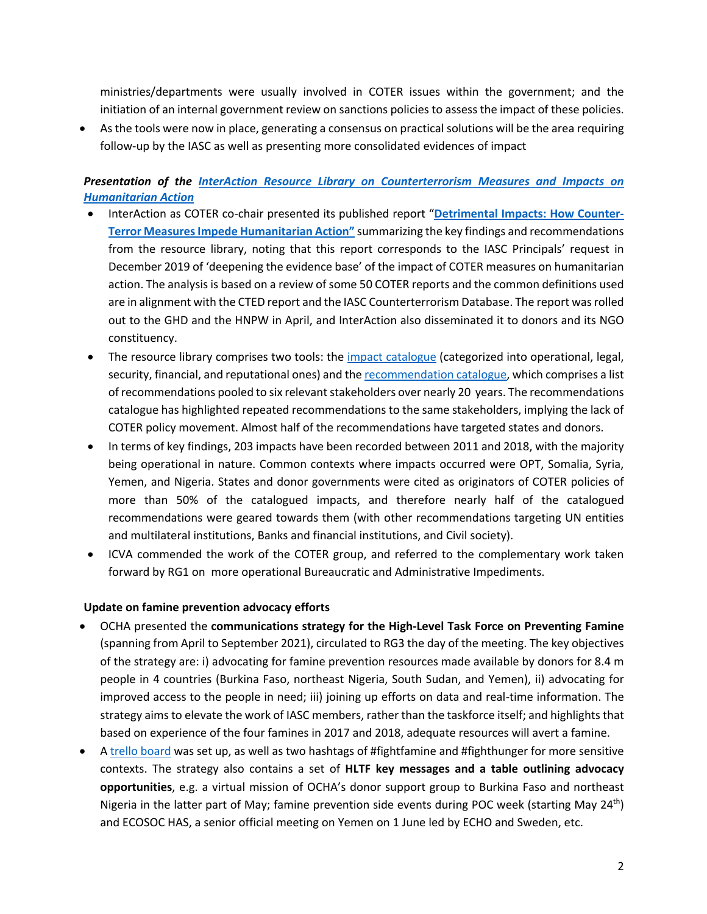ministries/departments were usually involved in COTER issues within the government; and the initiation of an internal government review on sanctions policies to assess the impact of these policies.

• As the tools were now in place, generating a consensus on practical solutions will be the area requiring follow-up by the IASC as well as presenting more consolidated evidences of impact

## *Presentation of the InterAction Resource Library on Counterterrorism Measures and Impacts on Humanitarian Action*

- InterAction as COTER co-chair presented its published report "**Detrimental Impacts: How Counter-Terror Measures Impede Humanitarian Action"** summarizing the key findings and recommendations from the resource library, noting that this report corresponds to the IASC Principals' request in December 2019 of 'deepening the evidence base' of the impact of COTER measures on humanitarian action. The analysis is based on a review of some 50 COTER reports and the common definitions used are in alignment with the CTED report and the IASC Counterterrorism Database. The report was rolled out to the GHD and the HNPW in April, and InterAction also disseminated it to donors and its NGO constituency.
- The resource library comprises two tools: the impact catalogue (categorized into operational, legal, security, financial, and reputational ones) and the recommendation catalogue, which comprises a list of recommendations pooled to six relevant stakeholders over nearly 20 years. The recommendations catalogue has highlighted repeated recommendations to the same stakeholders, implying the lack of COTER policy movement. Almost half of the recommendations have targeted states and donors.
- In terms of key findings, 203 impacts have been recorded between 2011 and 2018, with the majority being operational in nature. Common contexts where impacts occurred were OPT, Somalia, Syria, Yemen, and Nigeria. States and donor governments were cited as originators of COTER policies of more than 50% of the catalogued impacts, and therefore nearly half of the catalogued recommendations were geared towards them (with other recommendations targeting UN entities and multilateral institutions, Banks and financial institutions, and Civil society).
- ICVA commended the work of the COTER group, and referred to the complementary work taken forward by RG1 on more operational Bureaucratic and Administrative Impediments.

## **Update on famine prevention advocacy efforts**

- OCHA presented the **communications strategy for the High-Level Task Force on Preventing Famine** (spanning from April to September 2021), circulated to RG3 the day of the meeting. The key objectives of the strategy are: i) advocating for famine prevention resources made available by donors for 8.4 m people in 4 countries (Burkina Faso, northeast Nigeria, South Sudan, and Yemen), ii) advocating for improved access to the people in need; iii) joining up efforts on data and real-time information. The strategy aims to elevate the work of IASC members, rather than the taskforce itself; and highlights that based on experience of the four famines in 2017 and 2018, adequate resources will avert a famine.
- A trello board was set up, as well as two hashtags of #fightfamine and #fighthunger for more sensitive contexts. The strategy also contains a set of **HLTF key messages and a table outlining advocacy opportunities**, e.g. a virtual mission of OCHA's donor support group to Burkina Faso and northeast Nigeria in the latter part of May; famine prevention side events during POC week (starting May 24<sup>th</sup>) and ECOSOC HAS, a senior official meeting on Yemen on 1 June led by ECHO and Sweden, etc.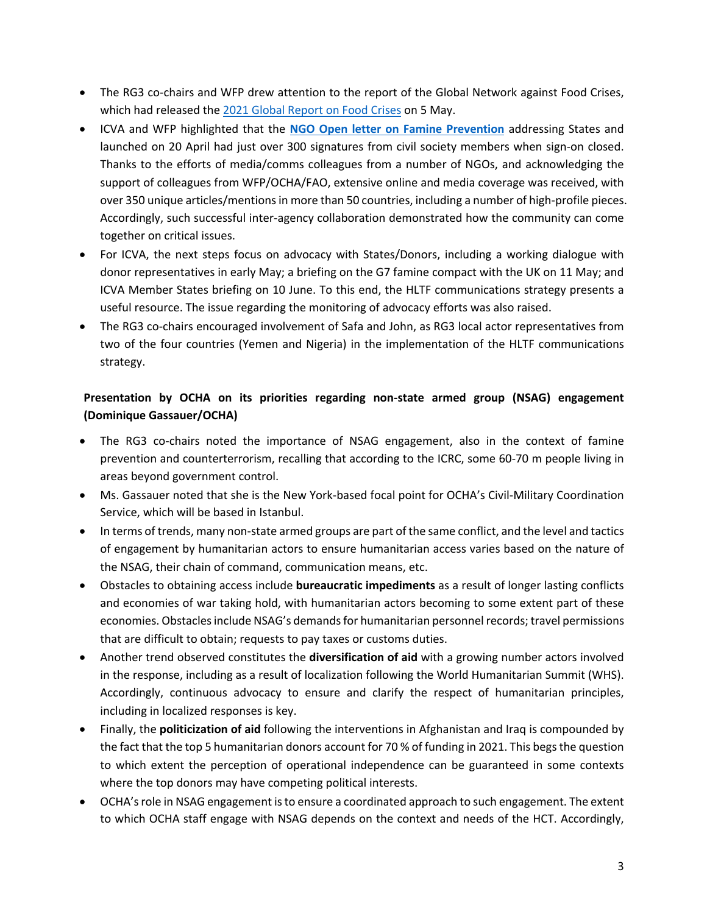- The RG3 co-chairs and WFP drew attention to the report of the Global Network against Food Crises, which had released the 2021 Global Report on Food Crises on 5 May.
- ICVA and WFP highlighted that the **NGO Open letter on Famine Prevention** addressing States and launched on 20 April had just over 300 signatures from civil society members when sign-on closed. Thanks to the efforts of media/comms colleagues from a number of NGOs, and acknowledging the support of colleagues from WFP/OCHA/FAO, extensive online and media coverage was received, with over 350 unique articles/mentions in more than 50 countries, including a number of high-profile pieces. Accordingly, such successful inter-agency collaboration demonstrated how the community can come together on critical issues.
- For ICVA, the next steps focus on advocacy with States/Donors, including a working dialogue with donor representatives in early May; a briefing on the G7 famine compact with the UK on 11 May; and ICVA Member States briefing on 10 June. To this end, the HLTF communications strategy presents a useful resource. The issue regarding the monitoring of advocacy efforts was also raised.
- The RG3 co-chairs encouraged involvement of Safa and John, as RG3 local actor representatives from two of the four countries (Yemen and Nigeria) in the implementation of the HLTF communications strategy.

# **Presentation by OCHA on its priorities regarding non-state armed group (NSAG) engagement (Dominique Gassauer/OCHA)**

- The RG3 co-chairs noted the importance of NSAG engagement, also in the context of famine prevention and counterterrorism, recalling that according to the ICRC, some 60-70 m people living in areas beyond government control.
- Ms. Gassauer noted that she is the New York-based focal point for OCHA's Civil-Military Coordination Service, which will be based in Istanbul.
- In terms of trends, many non-state armed groups are part of the same conflict, and the level and tactics of engagement by humanitarian actors to ensure humanitarian access varies based on the nature of the NSAG, their chain of command, communication means, etc.
- Obstacles to obtaining access include **bureaucratic impediments** as a result of longer lasting conflicts and economies of war taking hold, with humanitarian actors becoming to some extent part of these economies. Obstacles include NSAG's demands for humanitarian personnel records; travel permissions that are difficult to obtain; requests to pay taxes or customs duties.
- Another trend observed constitutes the **diversification of aid** with a growing number actors involved in the response, including as a result of localization following the World Humanitarian Summit (WHS). Accordingly, continuous advocacy to ensure and clarify the respect of humanitarian principles, including in localized responses is key.
- Finally, the **politicization of aid** following the interventions in Afghanistan and Iraq is compounded by the fact that the top 5 humanitarian donors account for 70 % of funding in 2021. This begs the question to which extent the perception of operational independence can be guaranteed in some contexts where the top donors may have competing political interests.
- OCHA's role in NSAG engagement is to ensure a coordinated approach to such engagement. The extent to which OCHA staff engage with NSAG depends on the context and needs of the HCT. Accordingly,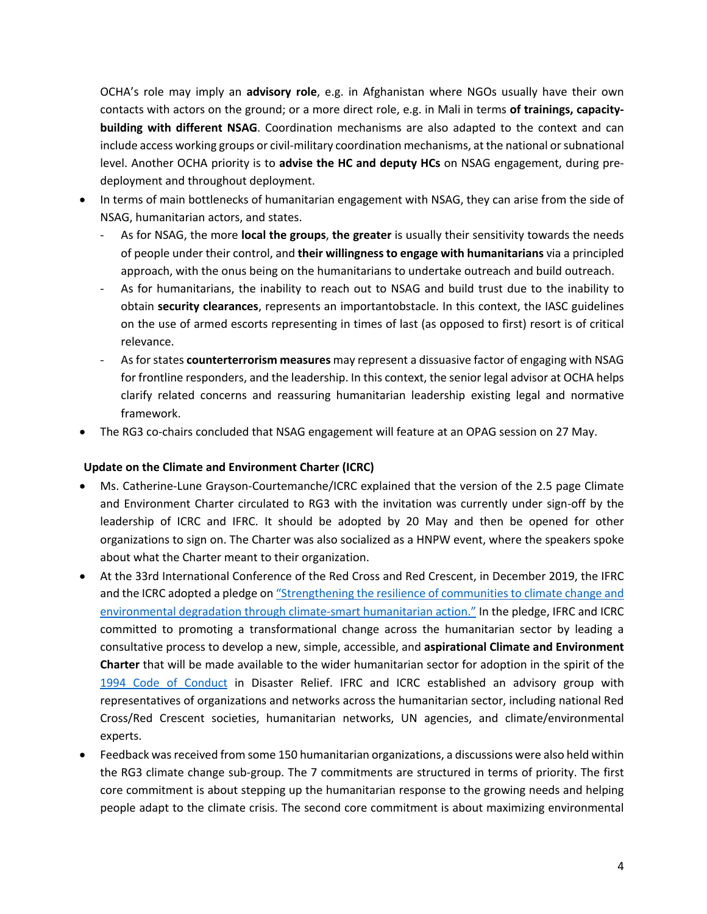OCHA's role may imply an **advisory role**, e.g. in Afghanistan where NGOs usually have their own contacts with actors on the ground; or a more direct role, e.g. in Mali in terms **of trainings, capacitybuilding with different NSAG**. Coordination mechanisms are also adapted to the context and can include access working groups or civil-military coordination mechanisms, at the national or subnational level. Another OCHA priority is to **advise the HC and deputy HCs** on NSAG engagement, during predeployment and throughout deployment.

- In terms of main bottlenecks of humanitarian engagement with NSAG, they can arise from the side of NSAG, humanitarian actors, and states.
	- As for NSAG, the more **local the groups**, **the greater** is usually their sensitivity towards the needs of people under their control, and **their willingness to engage with humanitarians** via a principled approach, with the onus being on the humanitarians to undertake outreach and build outreach.
	- As for humanitarians, the inability to reach out to NSAG and build trust due to the inability to obtain **security clearances**, represents an importantobstacle. In this context, the IASC guidelines on the use of armed escorts representing in times of last (as opposed to first) resort is of critical relevance.
	- As for states **counterterrorism measures** may represent a dissuasive factor of engaging with NSAG for frontline responders, and the leadership. In this context, the senior legal advisor at OCHA helps clarify related concerns and reassuring humanitarian leadership existing legal and normative framework.
- The RG3 co-chairs concluded that NSAG engagement will feature at an OPAG session on 27 May.

## **Update on the Climate and Environment Charter (ICRC)**

- Ms. Catherine-Lune Grayson-Courtemanche/ICRC explained that the version of the 2.5 page Climate and Environment Charter circulated to RG3 with the invitation was currently under sign-off by the leadership of ICRC and IFRC. It should be adopted by 20 May and then be opened for other organizations to sign on. The Charter was also socialized as a HNPW event, where the speakers spoke about what the Charter meant to their organization.
- At the 33rd International Conference of the Red Cross and Red Crescent, in December 2019, the IFRC and the ICRC adopted a pledge on "Strengthening the resilience of communities to climate change and environmental degradation through climate-smart humanitarian action." In the pledge, IFRC and ICRC committed to promoting a transformational change across the humanitarian sector by leading a consultative process to develop a new, simple, accessible, and **aspirational Climate and Environment Charter** that will be made available to the wider humanitarian sector for adoption in the spirit of the 1994 Code of Conduct in Disaster Relief. IFRC and ICRC established an advisory group with representatives of organizations and networks across the humanitarian sector, including national Red Cross/Red Crescent societies, humanitarian networks, UN agencies, and climate/environmental experts.
- Feedback was received from some 150 humanitarian organizations, a discussions were also held within the RG3 climate change sub-group. The 7 commitments are structured in terms of priority. The first core commitment is about stepping up the humanitarian response to the growing needs and helping people adapt to the climate crisis. The second core commitment is about maximizing environmental